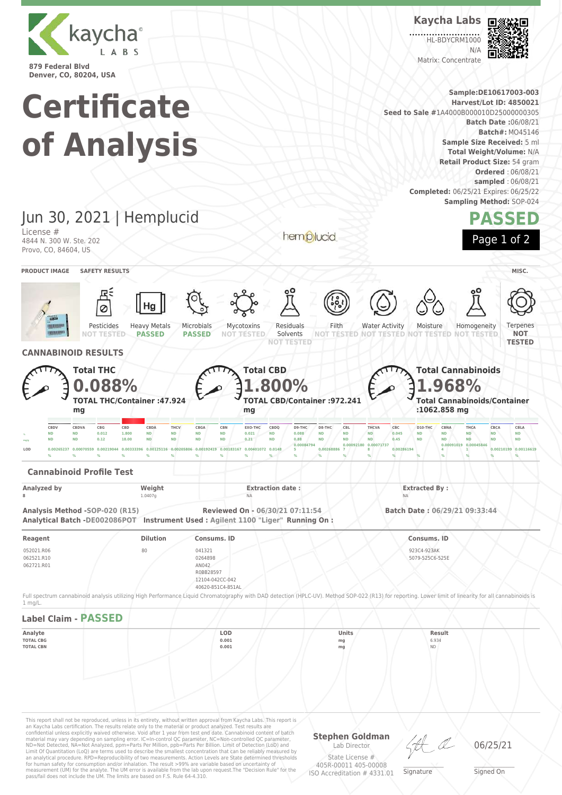

**Kaycha Labs**

.... HL-BDYCRM1000

N/A Matrix: Concentrate



| <b>Denver, CO, 80204, USA</b><br><b>Certificate</b><br>of Analysis                                                          |                                                                                                           |                                                                                                                 |                                                                                                                                                                                                                                                                                                                                                                                                                                                                                                                                                                                            |                                                                                                                                                                                                        |                                                                                 |                                                                                                                                     |                                                                                                                                                          | Sample:DE10617003-003<br><b>Harvest/Lot ID: 4850021</b><br>Seed to Sale #1A4000B000010D25000000305<br><b>Batch Date: 06/08/21</b><br>Batch#: MO45146<br>Sample Size Received: 5 ml<br>Total Weight/Volume: N/A<br>Retail Product Size: 54 gram<br><b>Ordered: 06/08/21</b><br>sampled: 06/08/21<br><b>Completed:</b> 06/25/21 Expires: 06/25/22<br><b>Sampling Method: SOP-024</b> |
|-----------------------------------------------------------------------------------------------------------------------------|-----------------------------------------------------------------------------------------------------------|-----------------------------------------------------------------------------------------------------------------|--------------------------------------------------------------------------------------------------------------------------------------------------------------------------------------------------------------------------------------------------------------------------------------------------------------------------------------------------------------------------------------------------------------------------------------------------------------------------------------------------------------------------------------------------------------------------------------------|--------------------------------------------------------------------------------------------------------------------------------------------------------------------------------------------------------|---------------------------------------------------------------------------------|-------------------------------------------------------------------------------------------------------------------------------------|----------------------------------------------------------------------------------------------------------------------------------------------------------|------------------------------------------------------------------------------------------------------------------------------------------------------------------------------------------------------------------------------------------------------------------------------------------------------------------------------------------------------------------------------------|
| Jun 30, 2021   Hemplucid                                                                                                    |                                                                                                           |                                                                                                                 |                                                                                                                                                                                                                                                                                                                                                                                                                                                                                                                                                                                            |                                                                                                                                                                                                        |                                                                                 |                                                                                                                                     |                                                                                                                                                          | <b>PASSED</b>                                                                                                                                                                                                                                                                                                                                                                      |
| License #<br>4844 N. 300 W. Ste. 202<br>Provo, CO, 84604, US                                                                |                                                                                                           |                                                                                                                 |                                                                                                                                                                                                                                                                                                                                                                                                                                                                                                                                                                                            |                                                                                                                                                                                                        | hemplucid                                                                       |                                                                                                                                     |                                                                                                                                                          | Page 1 of 2                                                                                                                                                                                                                                                                                                                                                                        |
| <b>PRODUCT IMAGE</b>                                                                                                        | <b>SAFETY RESULTS</b>                                                                                     |                                                                                                                 |                                                                                                                                                                                                                                                                                                                                                                                                                                                                                                                                                                                            |                                                                                                                                                                                                        |                                                                                 |                                                                                                                                     |                                                                                                                                                          | MISC.                                                                                                                                                                                                                                                                                                                                                                              |
|                                                                                                                             | Pesticides                                                                                                | Hg<br><b>Heavy Metals</b><br><b>PASSED</b>                                                                      | Microbials<br><b>PASSED</b>                                                                                                                                                                                                                                                                                                                                                                                                                                                                                                                                                                | Mycotoxins<br>Residuals<br>Solvents<br>NOT TESTED                                                                                                                                                      | Filth<br>NOT<br>TESTED                                                          | <b>Water Activity</b><br><b>TESTED</b>                                                                                              | Moisture<br>Homogeneity<br><b>FESTED NOT TESTED</b>                                                                                                      | Terpenes<br><b>NOT</b>                                                                                                                                                                                                                                                                                                                                                             |
| <b>CANNABINOID RESULTS</b>                                                                                                  |                                                                                                           |                                                                                                                 |                                                                                                                                                                                                                                                                                                                                                                                                                                                                                                                                                                                            | <b>NOT TESTED</b>                                                                                                                                                                                      |                                                                                 |                                                                                                                                     |                                                                                                                                                          | <b>TESTED</b>                                                                                                                                                                                                                                                                                                                                                                      |
| CBDV<br><b>ND</b><br><b>ND</b><br><b>ND</b><br><b>ND</b><br>LOD<br>0.00265237 0.00070559<br><b>Cannabinoid Profile Test</b> | TOTAL THC/Container: 47.924<br>mg<br>CBDVA<br>CBG<br>CBD<br>0.012<br>1.800<br>0.12<br>18.00<br>0.00219044 | CBDA<br>THCV<br><b>ND</b><br><b>ND</b><br><b>ND</b><br><b>ND</b><br>0.00333396 0.00125116 0.00205806 0.00192419 | CBGA<br>CBN<br><b>ND</b><br><b>ND</b><br><b>ND</b><br><b>ND</b>                                                                                                                                                                                                                                                                                                                                                                                                                                                                                                                            | 800%<br><b>TOTAL CBD/Container: 972.241</b><br>mg<br>EXO-THC<br>CBDQ<br>D9-THC<br><b>ND</b><br>0.088<br>0.021<br>0.88<br>0.21<br><b>ND</b><br>0.00084794<br>0.00183167 0.00401072 0.0148               | D8-THC<br>CBL<br><b>ND</b><br><b>ND</b><br><b>ND</b><br><b>ND</b><br>0.00268886 | THCVA<br>CBC<br>D10-THC<br><b>ND</b><br>0.045<br><b>ND</b><br><b>ND</b><br>0.45<br><b>ND</b><br>0.00092180 0.00071737<br>0.00286194 | 968%<br><b>Total Cannabinoids/Container</b><br>:1062.858 mg<br>CBNA<br>THCA<br><b>ND</b><br><b>ND</b><br><b>ND</b><br><b>ND</b><br>0.00091019 0.00045846 | CBCA<br>CBLA<br><b>ND</b><br><b>ND</b><br><b>ND</b><br><b>ND</b><br>0.00210199 0.00116619                                                                                                                                                                                                                                                                                          |
| <b>Analyzed by</b>                                                                                                          |                                                                                                           | Weight                                                                                                          |                                                                                                                                                                                                                                                                                                                                                                                                                                                                                                                                                                                            | <b>Extraction date:</b>                                                                                                                                                                                |                                                                                 | <b>Extracted By:</b>                                                                                                                |                                                                                                                                                          |                                                                                                                                                                                                                                                                                                                                                                                    |
| Analysis Method -SOP-020 (R15)                                                                                              |                                                                                                           | 1.0407g                                                                                                         |                                                                                                                                                                                                                                                                                                                                                                                                                                                                                                                                                                                            | NΔ<br>Reviewed On - 06/30/21 07:11:54<br>Analytical Batch -DE002086POT Instrument Used: Agilent 1100 "Liger" Running On:                                                                               |                                                                                 |                                                                                                                                     | Batch Date: 06/29/21 09:33:44                                                                                                                            |                                                                                                                                                                                                                                                                                                                                                                                    |
| Reagent<br>052021.R06<br>062521.R10<br>062721.R01                                                                           |                                                                                                           | <b>Dilution</b><br>80                                                                                           | Consums. ID<br>041321<br>0264898<br>AN042<br>R0BB28597<br>12104-042CC-042<br>40620-851C4-851AL                                                                                                                                                                                                                                                                                                                                                                                                                                                                                             |                                                                                                                                                                                                        |                                                                                 | Consums. ID<br>923C4-923AK<br>5079-525C6-525E                                                                                       |                                                                                                                                                          |                                                                                                                                                                                                                                                                                                                                                                                    |
| 1 mg/L.                                                                                                                     |                                                                                                           |                                                                                                                 |                                                                                                                                                                                                                                                                                                                                                                                                                                                                                                                                                                                            | Full spectrum cannabinoid analysis utilizing High Performance Liquid Chromatography with DAD detection (HPLC-UV). Method SOP-022 (R13) for reporting. Lower limit of linearity for all cannabinoids is |                                                                                 |                                                                                                                                     |                                                                                                                                                          |                                                                                                                                                                                                                                                                                                                                                                                    |
| <b>Label Claim - PASSED</b>                                                                                                 |                                                                                                           |                                                                                                                 |                                                                                                                                                                                                                                                                                                                                                                                                                                                                                                                                                                                            |                                                                                                                                                                                                        |                                                                                 |                                                                                                                                     |                                                                                                                                                          |                                                                                                                                                                                                                                                                                                                                                                                    |
| Analyte<br><b>TOTAL CBG</b><br><b>TOTAL CBN</b>                                                                             |                                                                                                           |                                                                                                                 | LOD<br>0.001<br>0.001                                                                                                                                                                                                                                                                                                                                                                                                                                                                                                                                                                      |                                                                                                                                                                                                        | Units<br>mg<br>mg                                                               |                                                                                                                                     | Result<br>6.934<br><b>ND</b>                                                                                                                             |                                                                                                                                                                                                                                                                                                                                                                                    |
|                                                                                                                             |                                                                                                           |                                                                                                                 | This report shall not be reproduced, unless in its entirety, without written approval from Kaycha Labs. This report is<br>an Kaycha Labs certification. The results relate only to the material or product analyzed. Test results are<br>confidential unless explicitly waived otherwise. Void after 1 year from test end date. Cannabinoid content of batch<br>material may vary depending on sampling error. IC=In-control QC parameter, NC=Non-controlled QC parameter,<br>ND=Not Detected, NA=Not Analyzed, ppm=Parts Per Million, ppb=Parts Per Billion. Limit of Detection (LoD) and |                                                                                                                                                                                                        | <b>Stephen Goldman</b><br>Lab Director                                          |                                                                                                                                     | LA a                                                                                                                                                     | 06/25/21                                                                                                                                                                                                                                                                                                                                                                           |

ND=Not Detected, NA=Not Analyzed, ppm=Parts Per Million, ppb=Parts Per Billion. Limit of Detection (LoD) and Limit Of Quantitation (LoQ) are terms used to describe the smallest concentration that can be reliably measured by<br>an analytical procedure. RPD=Reproducibility of two measurements. Action Levels are State determined thresh

State License # 405R-00011 405-00008 ISO Accreditation # 4331.01

\_\_\_\_\_\_\_\_\_\_\_\_\_\_\_\_\_\_\_ Signature

\_\_\_\_\_\_\_\_\_\_\_\_\_\_\_\_\_\_\_ Signed On